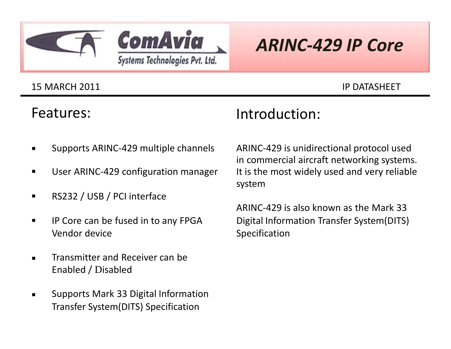



# *ARINC-429 IP Core*

#### 15 MARCH 2011 IP DATASHEET

### Features:

## Introduction:

- $\blacksquare$ Supports ARINC-429 multiple channels
- $\blacksquare$ User ARINC-429 configuration manager
- $\blacksquare$ RS232 / USB / PCI interface
- $\blacksquare$ IP Core can be fused in to any FPGA Vendor device
- $\blacksquare$ Transmitter and Receiver can be Enabled / Disabled
- $\blacksquare$ Supports Mark 33 Digital Information Transfer System(DITS) Specification

ARINC-429 is unidirectional protocol used in commercial aircraft networking systems. It is the most widely used and very reliable system

ARINC-429 is also known as the Mark 33 Digital Information Transfer System(DITS) Specification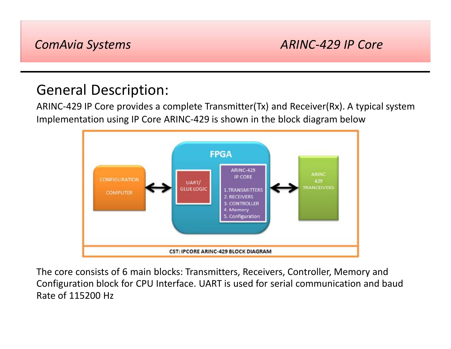### *ComAvia Systems ARINC-429 IP Core*

## General Description:

ARINC-429 IP Core provides a complete Transmitter(Tx) and Receiver(Rx). A typical system Implementation using IP Core ARINC-429 is shown in the block diagram below



The core consists of 6 main blocks: Transmitters, Receivers, Controller, Memory and Configuration block for CPU Interface. UART is used for serial communication and baud Rate of 115200 Hz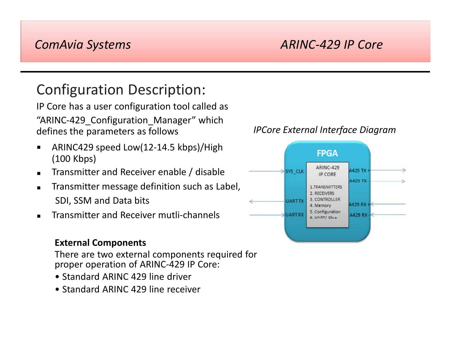### *ComAvia Systems*

### *ARINC-429 IP Core*

## Configuration Description:

IP Core has a user configuration tool called as "ARINC-429 Configuration Manager" which defines the parameters as follows

- $\blacksquare$ ARINC429 speed Low(12-14.5 kbps)/High (100 Kbps)
- $\blacksquare$ Transmitter and Receiver enable / disable
- $\blacksquare$ Transmitter message definition such as Label, SDI, SSM and Data bits
- $\blacksquare$ Transmitter and Receiver mutli-channels

#### **External Components**

There are two external components required for proper operation of ARINC-429 IP Core:

- Standard ARINC 429 line driver
- Standard ARINC 429 line receiver

#### *IPCore External Interface Diagram*